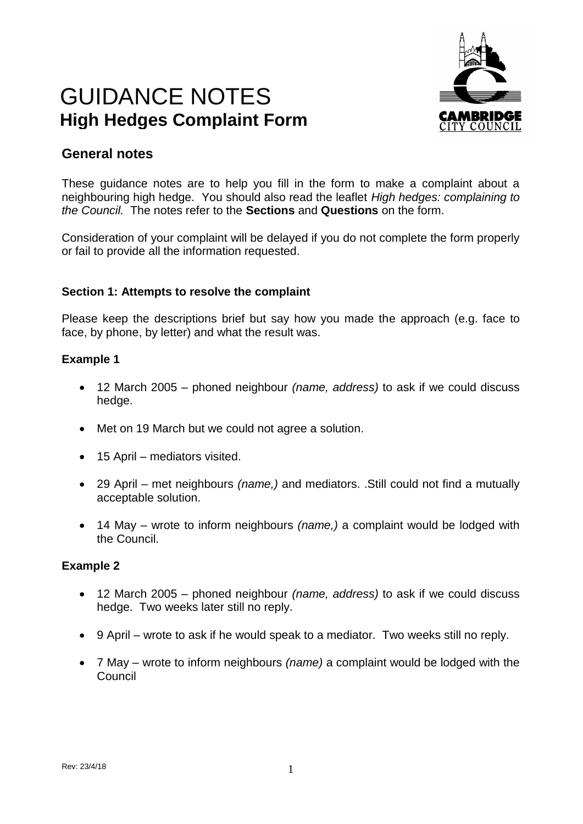# GUIDANCE NOTES **High Hedges Complaint Form**



# **General notes**

These guidance notes are to help you fill in the form to make a complaint about a neighbouring high hedge. You should also read the leaflet *High hedges: complaining to the Council.* The notes refer to the **Sections** and **Questions** on the form.

Consideration of your complaint will be delayed if you do not complete the form properly or fail to provide all the information requested.

### **Section 1: Attempts to resolve the complaint**

Please keep the descriptions brief but say how you made the approach (e.g. face to face, by phone, by letter) and what the result was.

#### **Example 1**

- 12 March 2005 phoned neighbour *(name, address)* to ask if we could discuss hedge.
- Met on 19 March but we could not agree a solution.
- 15 April mediators visited.
- 29 April met neighbours *(name,)* and mediators. .Still could not find a mutually acceptable solution.
- 14 May wrote to inform neighbours *(name,)* a complaint would be lodged with the Council.

#### **Example 2**

- 12 March 2005 phoned neighbour *(name, address)* to ask if we could discuss hedge. Two weeks later still no reply.
- 9 April wrote to ask if he would speak to a mediator. Two weeks still no reply.
- 7 May wrote to inform neighbours *(name)* a complaint would be lodged with the Council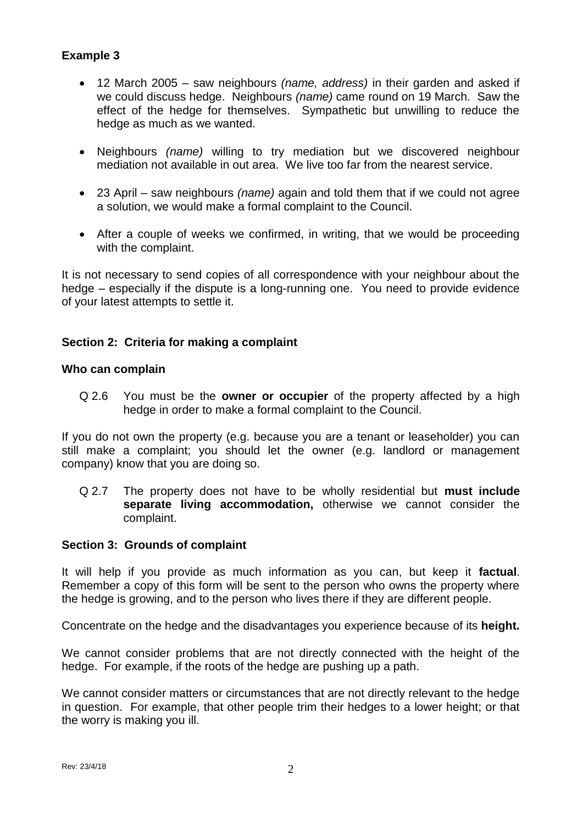# **Example 3**

- 12 March 2005 saw neighbours *(name, address)* in their garden and asked if we could discuss hedge. Neighbours *(name)* came round on 19 March. Saw the effect of the hedge for themselves. Sympathetic but unwilling to reduce the hedge as much as we wanted.
- Neighbours *(name)* willing to try mediation but we discovered neighbour mediation not available in out area. We live too far from the nearest service.
- 23 April saw neighbours *(name)* again and told them that if we could not agree a solution, we would make a formal complaint to the Council.
- After a couple of weeks we confirmed, in writing, that we would be proceeding with the complaint.

It is not necessary to send copies of all correspondence with your neighbour about the hedge – especially if the dispute is a long-running one. You need to provide evidence of your latest attempts to settle it.

### **Section 2: Criteria for making a complaint**

#### **Who can complain**

Q 2.6 You must be the **owner or occupier** of the property affected by a high hedge in order to make a formal complaint to the Council.

If you do not own the property (e.g. because you are a tenant or leaseholder) you can still make a complaint; you should let the owner (e.g. landlord or management company) know that you are doing so.

Q 2.7 The property does not have to be wholly residential but **must include separate living accommodation,** otherwise we cannot consider the complaint.

#### **Section 3: Grounds of complaint**

It will help if you provide as much information as you can, but keep it **factual**. Remember a copy of this form will be sent to the person who owns the property where the hedge is growing, and to the person who lives there if they are different people.

Concentrate on the hedge and the disadvantages you experience because of its **height.**

We cannot consider problems that are not directly connected with the height of the hedge. For example, if the roots of the hedge are pushing up a path.

We cannot consider matters or circumstances that are not directly relevant to the hedge in question. For example, that other people trim their hedges to a lower height; or that the worry is making you ill.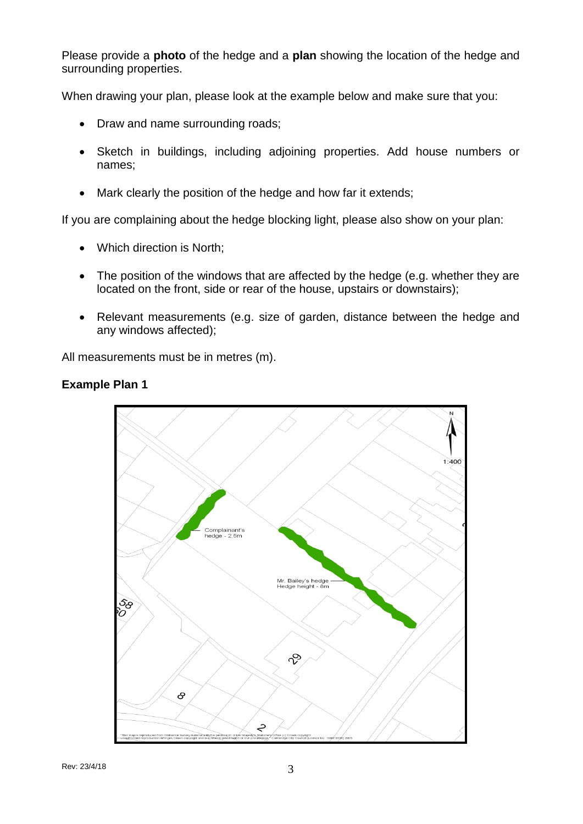Please provide a **photo** of the hedge and a **plan** showing the location of the hedge and surrounding properties.

When drawing your plan, please look at the example below and make sure that you:

- Draw and name surrounding roads:
- Sketch in buildings, including adjoining properties. Add house numbers or names;
- Mark clearly the position of the hedge and how far it extends;

If you are complaining about the hedge blocking light, please also show on your plan:

- Which direction is North;
- The position of the windows that are affected by the hedge (e.g. whether they are located on the front, side or rear of the house, upstairs or downstairs);
- Relevant measurements (e.g. size of garden, distance between the hedge and any windows affected);

All measurements must be in metres (m).



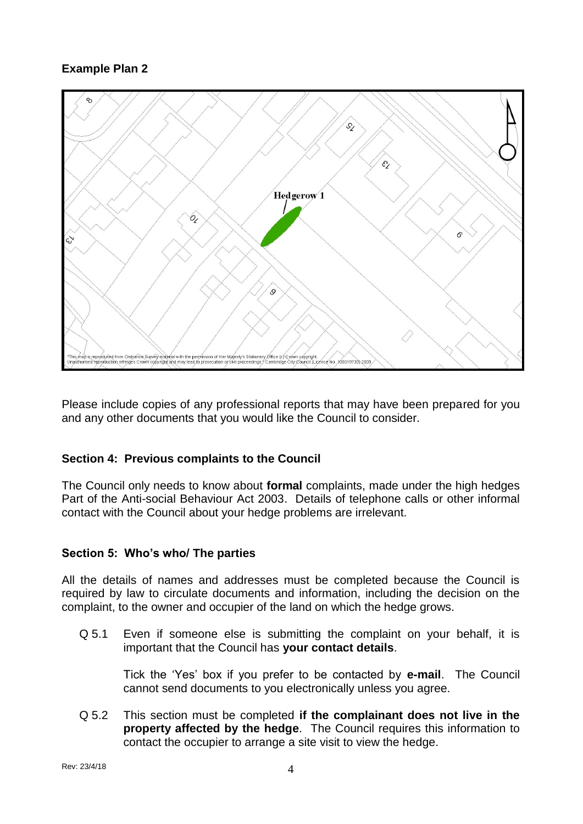# **Example Plan 2**



Please include copies of any professional reports that may have been prepared for you and any other documents that you would like the Council to consider.

# **Section 4: Previous complaints to the Council**

The Council only needs to know about **formal** complaints, made under the high hedges Part of the Anti-social Behaviour Act 2003. Details of telephone calls or other informal contact with the Council about your hedge problems are irrelevant.

#### **Section 5: Who's who/ The parties**

All the details of names and addresses must be completed because the Council is required by law to circulate documents and information, including the decision on the complaint, to the owner and occupier of the land on which the hedge grows.

Q 5.1 Even if someone else is submitting the complaint on your behalf, it is important that the Council has **your contact details**.

Tick the 'Yes' box if you prefer to be contacted by **e-mail**. The Council cannot send documents to you electronically unless you agree.

Q 5.2 This section must be completed **if the complainant does not live in the property affected by the hedge**. The Council requires this information to contact the occupier to arrange a site visit to view the hedge.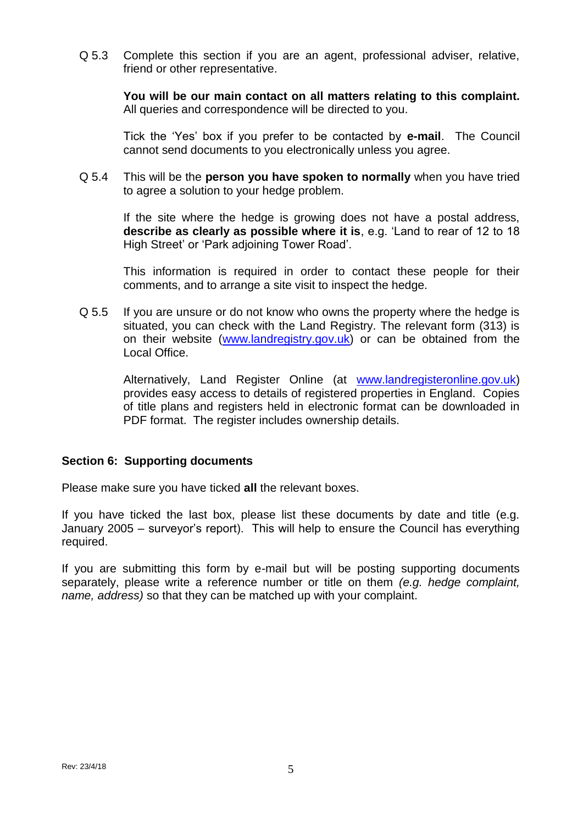Q 5.3 Complete this section if you are an agent, professional adviser, relative, friend or other representative.

**You will be our main contact on all matters relating to this complaint.**  All queries and correspondence will be directed to you.

Tick the 'Yes' box if you prefer to be contacted by **e-mail**. The Council cannot send documents to you electronically unless you agree.

Q 5.4 This will be the **person you have spoken to normally** when you have tried to agree a solution to your hedge problem.

If the site where the hedge is growing does not have a postal address, **describe as clearly as possible where it is**, e.g. 'Land to rear of 12 to 18 High Street' or 'Park adjoining Tower Road'.

This information is required in order to contact these people for their comments, and to arrange a site visit to inspect the hedge.

Q 5.5 If you are unsure or do not know who owns the property where the hedge is situated, you can check with the Land Registry. The relevant form (313) is on their website [\(www.landregistry.gov.uk\)](http://www.landregistry.gov.uk/) or can be obtained from the Local Office.

Alternatively, Land Register Online (at [www.landregisteronline.gov.uk\)](http://www.landregisteronline.gov.uk/) provides easy access to details of registered properties in England. Copies of title plans and registers held in electronic format can be downloaded in PDF format. The register includes ownership details.

#### **Section 6: Supporting documents**

Please make sure you have ticked **all** the relevant boxes.

If you have ticked the last box, please list these documents by date and title (e.g. January 2005 – surveyor's report). This will help to ensure the Council has everything required.

If you are submitting this form by e-mail but will be posting supporting documents separately, please write a reference number or title on them *(e.g. hedge complaint, name, address)* so that they can be matched up with your complaint.